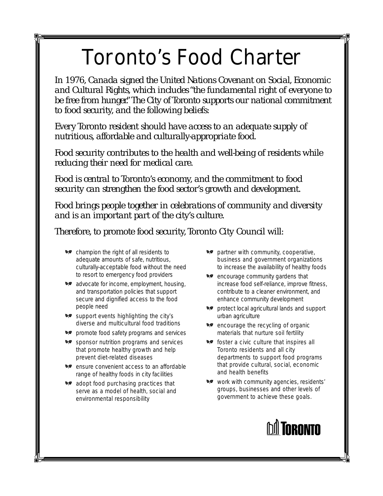# Toronto's Food Charter

*In 1976, Canada signed the United Nations Covenant on Social, Economic and Cultural Rights, which includes "the fundamental right of everyone to be free from hunger." The City of Toronto supports our national commitment to food security, and the following beliefs:*

*Every Toronto resident should have access to an adequate supply of nutritious, affordable and culturally-appropriate food.*

*Food security contributes to the health and well-being of residents while reducing their need for medical care.*

*Food is central to Toronto's economy, and the commitment to food security can strengthen the food sector's growth and development.*

*Food brings people together in celebrations of community and diversity and is an important part of the city's culture.*

*Therefore, to promote food security, Toronto City Council will:*

- **A** champion the right of all residents to adequate amounts of safe, nutritious, culturally-acceptable food without the need to resort to emergency food providers
- **A** advocate for income, employment, housing, and transportation policies that support secure and dignified access to the food people need
- **\*** support events highlighting the city's diverse and multicultural food traditions
- **A** promote food safety programs and services
- **A** sponsor nutrition programs and services that promote healthy growth and help prevent diet-related diseases
- **A** ensure convenient access to an affordable range of healthy foods in city facilities
- **A** adopt food purchasing practices that serve as a model of health, social and environmental responsibility
- $\bullet\$  partner with community, cooperative, business and government organizations to increase the availability of healthy foods
- **A** encourage community gardens that increase food self-reliance, improve fitness, contribute to a cleaner environment, and enhance community development
- **A** protect local agricultural lands and support urban agriculture
- **A** encourage the recycling of organic materials that nurture soil fertility
- **A** foster a civic culture that inspires all Toronto residents and all city departments to support food programs that provide cultural, social, economic and health benefits
- work with community agencies, residents' groups, businesses and other levels of government to achieve these goals.

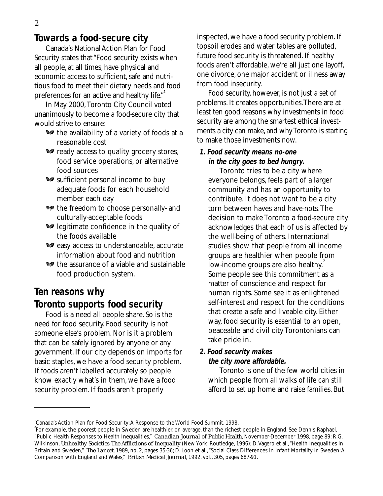# **Towards a food-secure city**

Canada's National Action Plan for Food Security states that "Food security exists when all people, at all times, have physical and economic access to sufficient, safe and nutritious food to meet their dietary needs and food preferences for an active and healthy life."

In May 2000, Toronto City Council voted unanimously to become a food-secure city that would strive to ensure:

- **A** the availability of a variety of foods at a reasonable cost
- $\bullet$  ready access to quality grocery stores, food service operations, or alternative food sources
- **•** sufficient personal income to buy adequate foods for each household member each day
- **A** the freedom to choose personally- and culturally-acceptable foods
- **•** legitimate confidence in the quality of the foods available
- **A** easy access to understandable, accurate information about food and nutrition
- **A** the assurance of a viable and sustainable food production system.

# **Ten reasons why Toronto supports food security**

Food is a need all people share. So is the need for food security. Food security is not someone else's problem. Nor is it a problem that can be safely ignored by anyone or any government. If our city depends on imports for basic staples, we have a food security problem. If foods aren't labelled accurately so people know exactly what's in them, we have a food security problem. If foods aren't properly

inspected, we have a food security problem. If topsoil erodes and water tables are polluted, future food security is threatened. If healthy foods aren't affordable, we're all just one layoff, one divorce, one major accident or illness away from food insecurity.

Food security, however, is not just a set of problems. It creates opportunities.There are at least ten good reasons why investments in food security are among the smartest ethical investments a city can make, and why Toronto is starting to make those investments now.

# *1. Food security means no-one in the city goes to bed hungry.*

Toronto tries to be a city where everyone belongs, feels part of a larger community and has an opportunity to contribute. It does not want to be a city torn between haves and have-nots.The decision to make Toronto a food-secure city acknowledges that each of us is affected by the well-being of others. International studies show that people from all income groups are healthier when people from low-income groups are also healthy.<sup>2</sup> Some people see this commitment as a matter of conscience and respect for human rights. Some see it as enlightened self-interest and respect for the conditions that create a safe and liveable city. Either way, food security is essential to an open, peaceable and civil city Torontonians can take pride in.

# *2. Food security makes the city more affordable.*

Toronto is one of the few world cities in which people from all walks of life can still afford to set up home and raise families. But

<sup>&</sup>lt;sup>1</sup> Canada's Action Plan for Food Security: A Response to the World Food Summit, 1998.

<sup>&</sup>lt;sup>2</sup> For example, the poorest people in Sweden are healthier, on average, than the richest people in England. See Dennis Raphael, "Public Health Responses to Health Inequalities," *Canadian Journal of Public Health*, November-December 1998, page 89; R.G. Wilkinson, *Unhealthy Societies:The Afflictions of Inequality* (New York: Routledge, 1996); D.Vagero et al.,"Health Inequalities in Britain and Sweden," *The Lancet*, 1989, no. 2, pages 35-36; D. Loon et al.,"Social Class Differences in Infant Mortality in Sweden:A Comparison with England and Wales," *British Medical Journal*, 1992, vol., 305, pages 687-91.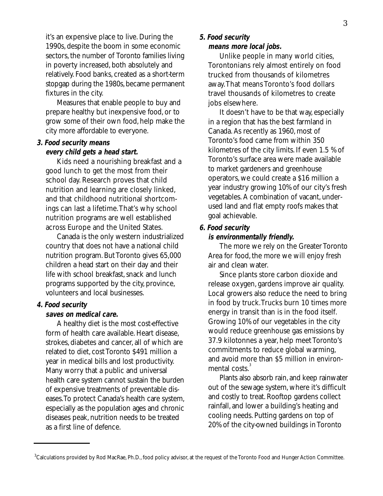it's an expensive place to live. During the 1990s, despite the boom in some economic sectors, the number of Toronto families living in poverty increased, both absolutely and relatively. Food banks, created as a short-term stopgap during the 1980s, became permanent fixtures in the city.

Measures that enable people to buy and prepare healthy but inexpensive food, or to grow some of their own food, help make the city more affordable to everyone.

## *3. Food security means every child gets a head start.*

Kids need a nourishing breakfast and a good lunch to get the most from their school day. Research proves that child nutrition and learning are closely linked, and that childhood nutritional shortcomings can last a lifetime.That's why school nutrition programs are well established across Europe and the United States.

Canada is the only western industrialized country that does not have a national child nutrition program. But Toronto gives 65,000 children a head start on their day and their life with school breakfast, snack and lunch programs supported by the city, province, volunteers and local businesses.

## *4. Food security*

#### *saves on medical care.*

A healthy diet is the most cost-effective form of health care available. Heart disease, strokes, diabetes and cancer, all of which are related to diet, cost Toronto \$491 million a year in medical bills and lost productivity. Many worry that a public and universal health care system cannot sustain the burden of expensive treatments of preventable diseases.To protect Canada's health care system, especially as the population ages and chronic diseases peak, nutrition needs to be treated as a first line of defence.

#### *5. Food security means more local jobs.*

Unlike people in many world cities, Torontonians rely almost entirely on food trucked from thousands of kilometres away.That means Toronto's food dollars travel thousands of kilometres to create jobs elsewhere.

It doesn't have to be that way, especially in a region that has the best farmland in Canada. As recently as 1960, most of Toronto's food came from within 350 kilometres of the city limits. If even 1.5 % of Toronto's surface area were made available to market gardeners and greenhouse operators, we could create a \$16 million a year industry growing 10% of our city's fresh vegetables. A combination of vacant, underused land and flat empty roofs makes that goal achievable.

# *6. Food security*

#### *is environmentally friendly.*

The more we rely on the Greater Toronto Area for food, the more we will enjoy fresh air and clean water.

Since plants store carbon dioxide and release oxygen, gardens improve air quality. Local growers also reduce the need to bring in food by truck.Trucks burn 10 times more energy in transit than is in the food itself. Growing 10% of our vegetables in the city would reduce greenhouse gas emissions by 37.9 kilotonnes a year, help meet Toronto's commitments to reduce global warming, and avoid more than \$5 million in environmental costs.<sup>3</sup>

Plants also absorb rain, and keep rainwater out of the sewage system, where it's difficult and costly to treat. Rooftop gardens collect rainfall, and lower a building's heating and cooling needs. Putting gardens on top of 20% of the city-owned buildings in Toronto

<sup>3</sup> Calculations provided by Rod MacRae, Ph.D., food policy advisor, at the request of the Toronto Food and Hunger Action Committee.